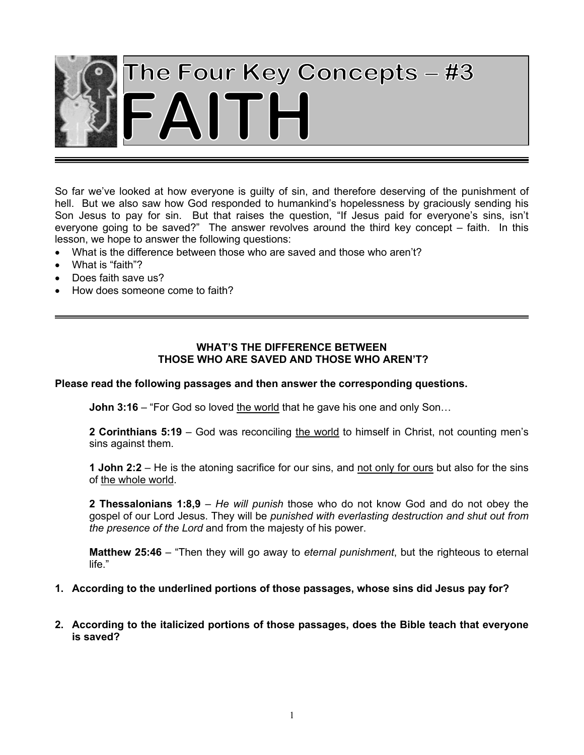

So far we've looked at how everyone is guilty of sin, and therefore deserving of the punishment of hell. But we also saw how God responded to humankind's hopelessness by graciously sending his Son Jesus to pay for sin. But that raises the question, "If Jesus paid for everyone's sins, isn't everyone going to be saved?" The answer revolves around the third key concept – faith. In this lesson, we hope to answer the following questions:

- What is the difference between those who are saved and those who aren't?
- What is "faith"?
- Does faith save us?
- How does someone come to faith?

## **WHAT'S THE DIFFERENCE BETWEEN THOSE WHO ARE SAVED AND THOSE WHO AREN'T?**

### **Please read the following passages and then answer the corresponding questions.**

**John 3:16** – "For God so loved the world that he gave his one and only Son...

**2 Corinthians 5:19** – God was reconciling the world to himself in Christ, not counting men's sins against them.

**1 John 2:2** – He is the atoning sacrifice for our sins, and not only for ours but also for the sins of the whole world.

**2 Thessalonians 1:8,9** – *He will punish* those who do not know God and do not obey the gospel of our Lord Jesus. They will be *punished with everlasting destruction and shut out from the presence of the Lord* and from the majesty of his power.

**Matthew 25:46** – "Then they will go away to *eternal punishment*, but the righteous to eternal life."

## **1. According to the underlined portions of those passages, whose sins did Jesus pay for?**

**2. According to the italicized portions of those passages, does the Bible teach that everyone is saved?**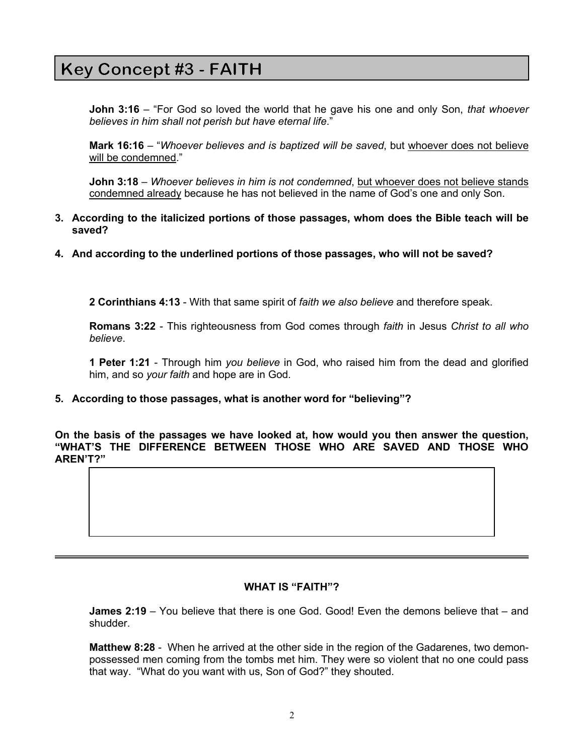#### **Thus while the Bible teaches that Jesus paid for everyone's sins, it also teaches that not**   $\left[\begin{array}{ccc} \text{key} \text{concept} \text{ \#3 - r \text{ \#11 n}} \end{array}\right]$

**John 3:16** – "For God so loved the world that he gave his one and only Son, *that whoever believes in him shall not perish but have eternal life*."

**Mark 16:16** – "*Whoever believes and is baptized will be saved*, but whoever does not believe will be condemned."

**John 3:18** – *Whoever believes in him is not condemned*, but whoever does not believe stands condemned already because he has not believed in the name of God's one and only Son.

- **3. According to the italicized portions of those passages, whom does the Bible teach will be saved?**
- **4. And according to the underlined portions of those passages, who will not be saved?**

**2 Corinthians 4:13** - With that same spirit of *faith we also believe* and therefore speak.

**Romans 3:22** - This righteousness from God comes through *faith* in Jesus *Christ to all who believe*.

**1 Peter 1:21** - Through him *you believe* in God, who raised him from the dead and glorified him, and so *your faith* and hope are in God.

**5. According to those passages, what is another word for "believing"?** 

**On the basis of the passages we have looked at, how would you then answer the question, "WHAT'S THE DIFFERENCE BETWEEN THOSE WHO ARE SAVED AND THOSE WHO AREN'T?"**

### **WHAT IS "FAITH"?**

**James 2:19** – You believe that there is one God. Good! Even the demons believe that – and shudder.

**Matthew 8:28** - When he arrived at the other side in the region of the Gadarenes, two demonpossessed men coming from the tombs met him. They were so violent that no one could pass that way. "What do you want with us, Son of God?" they shouted.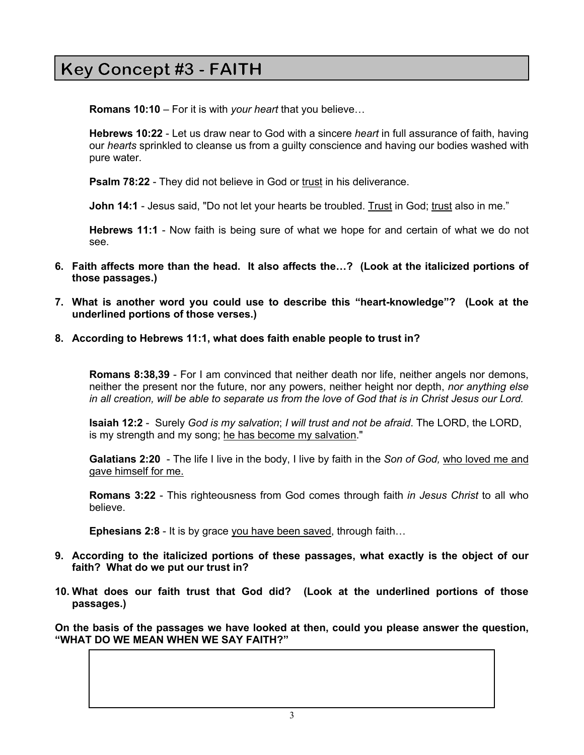#### **The demons know that Jesus is the Son of God. Therefore faith is more than just simple headknowledge about when**  $\mathsf{F}$  .

**Romans 10:10** – For it is with *your heart* that you believe…

**Hebrews 10:22** - Let us draw near to God with a sincere *heart* in full assurance of faith, having our *hearts* sprinkled to cleanse us from a guilty conscience and having our bodies washed with pure water.

**Psalm 78:22** - They did not believe in God or trust in his deliverance.

**John 14:1** - Jesus said, "Do not let your hearts be troubled. Trust in God; trust also in me."

**Hebrews 11:1** - Now faith is being sure of what we hope for and certain of what we do not see.

- **6. Faith affects more than the head. It also affects the…? (Look at the italicized portions of those passages.)**
- **7. What is another word you could use to describe this "heart-knowledge"? (Look at the underlined portions of those verses.)**
- **8. According to Hebrews 11:1, what does faith enable people to trust in?**

**Romans 8:38,39** - For I am convinced that neither death nor life, neither angels nor demons, neither the present nor the future, nor any powers, neither height nor depth, *nor anything else in all creation, will be able to separate us from the love of God that is in Christ Jesus our Lord.*

**Isaiah 12:2** - Surely *God is my salvation*; *I will trust and not be afraid*. The LORD, the LORD, is my strength and my song; he has become my salvation."

**Galatians 2:20** - The life I live in the body, I live by faith in the *Son of God,* who loved me and gave himself for me.

**Romans 3:22** - This righteousness from God comes through faith *in Jesus Christ* to all who believe.

**Ephesians 2:8** - It is by grace you have been saved, through faith…

- **9. According to the italicized portions of these passages, what exactly is the object of our faith? What do we put our trust in?**
- **10. What does our faith trust that God did? (Look at the underlined portions of those passages.)**

**On the basis of the passages we have looked at then, could you please answer the question, "WHAT DO WE MEAN WHEN WE SAY FAITH?"**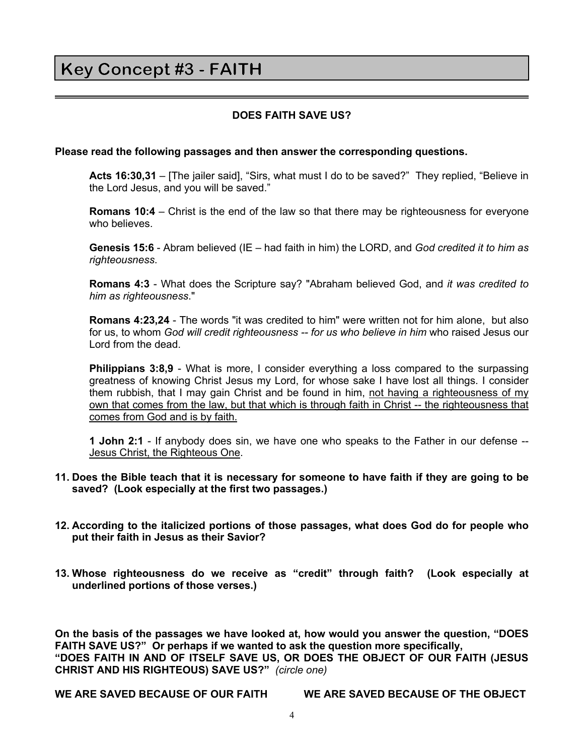# Key Concept #3 - FAITH

## **DOES FAITH SAVE US?**

### **Please read the following passages and then answer the corresponding questions.**

**Acts 16:30,31** – [The jailer said], "Sirs, what must I do to be saved?" They replied, "Believe in the Lord Jesus, and you will be saved."

**Romans 10:4** – Christ is the end of the law so that there may be righteousness for everyone who believes.

**Genesis 15:6** - Abram believed (IE – had faith in him) the LORD, and *God credited it to him as righteousness*.

**Romans 4:3** - What does the Scripture say? "Abraham believed God, and *it was credited to him as righteousness*."

**Romans 4:23,24** - The words "it was credited to him" were written not for him alone, but also for us, to whom *God will credit righteousness -- for us who believe in him* who raised Jesus our Lord from the dead.

**Philippians 3:8,9** - What is more, I consider everything a loss compared to the surpassing greatness of knowing Christ Jesus my Lord, for whose sake I have lost all things. I consider them rubbish, that I may gain Christ and be found in him, not having a righteousness of my own that comes from the law, but that which is through faith in Christ -- the righteousness that comes from God and is by faith.

**1 John 2:1** - If anybody does sin, we have one who speaks to the Father in our defense -- Jesus Christ, the Righteous One.

- **11. Does the Bible teach that it is necessary for someone to have faith if they are going to be saved? (Look especially at the first two passages.)**
- **12. According to the italicized portions of those passages, what does God do for people who put their faith in Jesus as their Savior?**
- **13. Whose righteousness do we receive as "credit" through faith? (Look especially at underlined portions of those verses.)**

**On the basis of the passages we have looked at, how would you answer the question, "DOES FAITH SAVE US?" Or perhaps if we wanted to ask the question more specifically, "DOES FAITH IN AND OF ITSELF SAVE US, OR DOES THE OBJECT OF OUR FAITH (JESUS CHRIST AND HIS RIGHTEOUS) SAVE US?"** *(circle one)*

**WE ARE SAVED BECAUSE OF OUR FAITH WE ARE SAVED BECAUSE OF THE OBJECT**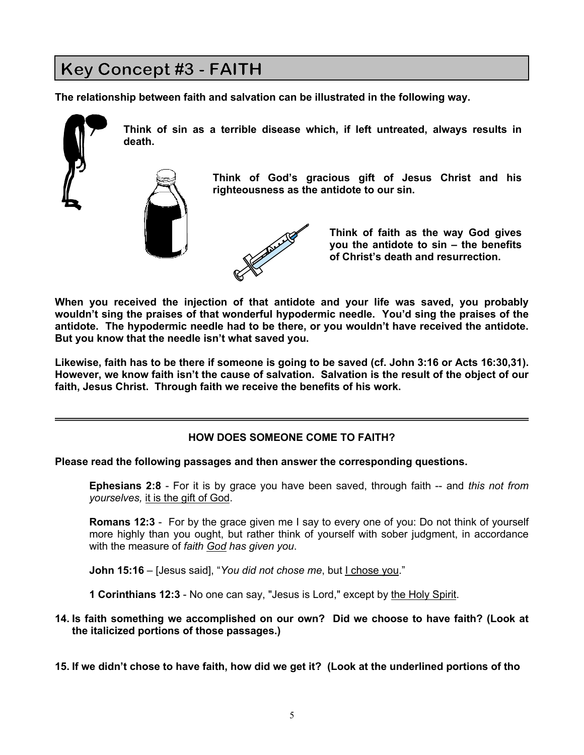# Key Concept #3 - FAITH

**The relationship between faith and salvation can be illustrated in the following way.** 





**Think of sin as a terrible disease which, if left untreated, always results in death.** 

> **Think of God's gracious gift of Jesus Christ and his righteousness as the antidote to our sin.**



**Think of faith as the way God gives you the antidote to sin – the benefits of Christ's death and resurrection.** 

**When you received the injection of that antidote and your life was saved, you probably wouldn't sing the praises of that wonderful hypodermic needle. You'd sing the praises of the antidote. The hypodermic needle had to be there, or you wouldn't have received the antidote. But you know that the needle isn't what saved you.** 

**Likewise, faith has to be there if someone is going to be saved (cf. John 3:16 or Acts 16:30,31). However, we know faith isn't the cause of salvation. Salvation is the result of the object of our faith, Jesus Christ. Through faith we receive the benefits of his work.** 

## **HOW DOES SOMEONE COME TO FAITH?**

**Please read the following passages and then answer the corresponding questions.**

**Ephesians 2:8** - For it is by grace you have been saved, through faith -- and *this not from yourselves,* it is the gift of God.

**Romans 12:3** - For by the grace given me I say to every one of you: Do not think of yourself more highly than you ought, but rather think of yourself with sober judgment, in accordance with the measure of *faith God has given you*.

**John 15:16** – [Jesus said], "*You did not chose me*, but I chose you."

**1 Corinthians 12:3** - No one can say, "Jesus is Lord," except by the Holy Spirit.

## **14. Is faith something we accomplished on our own? Did we choose to have faith? (Look at the italicized portions of those passages.)**

**15. If we didn't chose to have faith, how did we get it? (Look at the underlined portions of tho**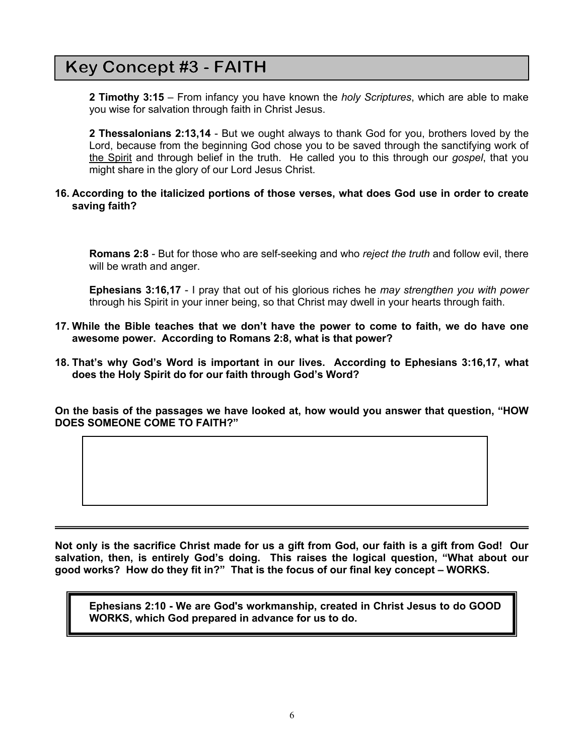## **Key Concept #3 - FAITH**

**2 Timothy 3:15** – From infancy you have known the *holy Scriptures*, which are able to make you wise for salvation through faith in Christ Jesus.

**2 Thessalonians 2:13,14** - But we ought always to thank God for you, brothers loved by the Lord, because from the beginning God chose you to be saved through the sanctifying work of the Spirit and through belief in the truth. He called you to this through our *gospel*, that you might share in the glory of our Lord Jesus Christ.

## **16. According to the italicized portions of those verses, what does God use in order to create saving faith?**

**Romans 2:8** - But for those who are self-seeking and who *reject the truth* and follow evil, there will be wrath and anger.

**Ephesians 3:16,17** - I pray that out of his glorious riches he *may strengthen you with power* through his Spirit in your inner being, so that Christ may dwell in your hearts through faith.

- **17. While the Bible teaches that we don't have the power to come to faith, we do have one awesome power. According to Romans 2:8, what is that power?**
- **18. That's why God's Word is important in our lives. According to Ephesians 3:16,17, what does the Holy Spirit do for our faith through God's Word?**

**On the basis of the passages we have looked at, how would you answer that question, "HOW DOES SOMEONE COME TO FAITH?"**

**Not only is the sacrifice Christ made for us a gift from God, our faith is a gift from God! Our salvation, then, is entirely God's doing. This raises the logical question, "What about our good works? How do they fit in?" That is the focus of our final key concept – WORKS.**

**Ephesians 2:10 - We are God's workmanship, created in Christ Jesus to do GOOD WORKS, which God prepared in advance for us to do.**